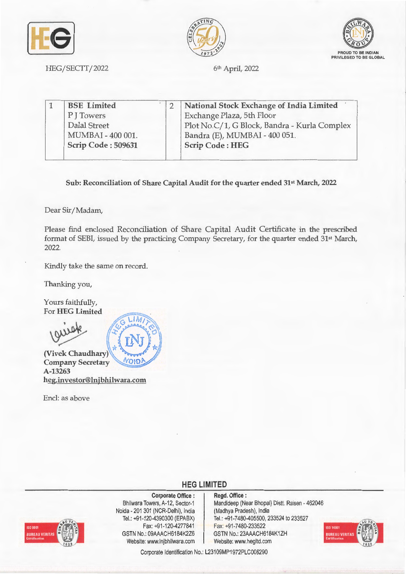





HEG/SECTT/2022

6<sup>th</sup> April, 2022

| <b>BSE</b> Limited | National Stock Exchange of India Limited     |
|--------------------|----------------------------------------------|
| P J Towers         | Exchange Plaza, 5th Floor                    |
| Dalal Street       | Plot No.C/1, G Block, Bandra - Kurla Complex |
| MUMBAI - 400 001.  | Bandra (E), MUMBAI - 400 051.                |
| Scrip Code: 509631 | <b>Scrip Code: HEG</b>                       |

**Sub: Reconciliation of Share Capital Audit for the quarter ended 31st March, 2022** 

Dear Sir/ Madam,

Please find enclosed Reconciliation of Share Capital Audit Certificate in the prescribed format of SEBI, issued by the practicing Company Secretary, for the quarter ended 31st March, 2022.

Kindly take the same on record.

Thanking you,

Yours faithfully, For **HEG Limited** 

(Vivek Chaudhary)

**Company Secretary** VOID **A-13263 heg.investor@lnjbhilwara.com** 

Encl: as above



## **HEG LIMITED**



**Corporate Office** : Bhilwara Towers, A-12, Sector-1 Naida - 201 301 (NCR-Delhi), India Tel.: +91 -120-4390300 (EPABX) Fax: +91-120-4277841 GSTN No.: 09AAACH6184K2Z6 Website: www.lnjbhilwara.com | Website: www.hegltd.com

## **Regd. Office** : Mandideep (Near Bhopal) Distt. Raisen - 462046 (Madhya Pradesh), India Tel.: +91 -7480-405500, 233524 to 233527

Fax: +91-7480-233522 GSTN No.: 23AAACH6184K1ZH



Corporate Identification No.: L23109MP1972PLC008290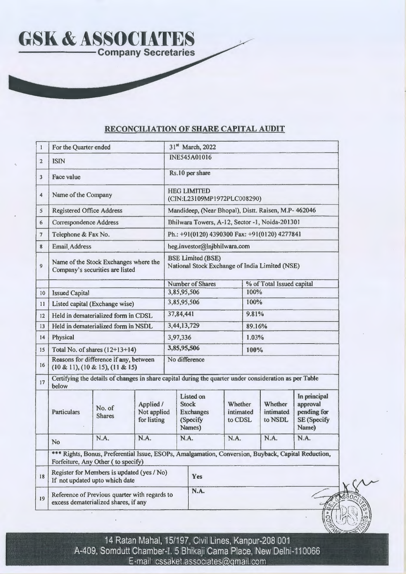

## **RECONCILIATION OF SHARE CAPITAL AUDIT**

| $\mathbf{1}$            | For the Quarter ended                                                                                           |                                                                                       |                                         |                                                                                                     | 31st March, 2022                                                           |        |                                 |                                 |                                                                 |  |
|-------------------------|-----------------------------------------------------------------------------------------------------------------|---------------------------------------------------------------------------------------|-----------------------------------------|-----------------------------------------------------------------------------------------------------|----------------------------------------------------------------------------|--------|---------------------------------|---------------------------------|-----------------------------------------------------------------|--|
| $\overline{2}$          | <b>ISIN</b>                                                                                                     |                                                                                       |                                         |                                                                                                     | <b>INE545A01016</b>                                                        |        |                                 |                                 |                                                                 |  |
| $\overline{\mathbf{3}}$ | Face value                                                                                                      |                                                                                       |                                         |                                                                                                     | Rs.10 per share                                                            |        |                                 |                                 |                                                                 |  |
| $\overline{4}$          | Name of the Company                                                                                             |                                                                                       |                                         |                                                                                                     | <b>HEG LIMITED</b><br>(CIN:L23109MP1972PLC008290)                          |        |                                 |                                 |                                                                 |  |
| 5                       | <b>Registered Office Address</b>                                                                                |                                                                                       |                                         | Mandideep, (Near Bhopal), Distt. Raisen, M.P- 462046                                                |                                                                            |        |                                 |                                 |                                                                 |  |
| 6                       | <b>Correspondence Address</b>                                                                                   |                                                                                       |                                         | Bhilwara Towers, A-12, Sector -1, Noida-201301                                                      |                                                                            |        |                                 |                                 |                                                                 |  |
| $\overline{7}$          | Telephone & Fax No.                                                                                             |                                                                                       |                                         |                                                                                                     | Ph.: +91(0120) 4390300 Fax: +91(0120) 4277841                              |        |                                 |                                 |                                                                 |  |
| 8                       | Email Address                                                                                                   |                                                                                       |                                         |                                                                                                     | heg.investor@lnjbhilwara.com                                               |        |                                 |                                 |                                                                 |  |
| $\overline{9}$          |                                                                                                                 | Name of the Stock Exchanges where the<br>Company's securities are listed              |                                         |                                                                                                     | <b>BSE Limited (BSE)</b><br>National Stock Exchange of India Limited (NSE) |        |                                 |                                 |                                                                 |  |
|                         |                                                                                                                 |                                                                                       |                                         |                                                                                                     | <b>Number of Shares</b>                                                    |        |                                 | % of Total Issued capital       |                                                                 |  |
| 10                      | <b>Issued Capital</b>                                                                                           |                                                                                       |                                         | 3,85,95,506                                                                                         |                                                                            |        | 100%                            |                                 |                                                                 |  |
| 11                      |                                                                                                                 | Listed capital (Exchange wise)                                                        |                                         |                                                                                                     | 3,85,95,506                                                                |        | 100%                            |                                 |                                                                 |  |
| 12                      |                                                                                                                 | Held in dematerialized form in CDSL                                                   |                                         |                                                                                                     | 37,84,441                                                                  |        | 9.81%                           |                                 |                                                                 |  |
| 13                      |                                                                                                                 | Held in dematerialized form in NSDL                                                   |                                         |                                                                                                     | 3,44,13,729                                                                | 89.16% |                                 |                                 |                                                                 |  |
| 14                      | Physical                                                                                                        |                                                                                       |                                         |                                                                                                     | 3,97,336                                                                   |        | 1.03%                           |                                 |                                                                 |  |
| 15                      |                                                                                                                 | Total No. of shares $(12+13+14)$                                                      |                                         |                                                                                                     | 3,85,95,506                                                                |        | 100%                            |                                 |                                                                 |  |
| 16                      |                                                                                                                 | Reasons for difference if any, between<br>$(10 \& 11), (10 \& 15), (11 \& 15)$        |                                         |                                                                                                     | No difference                                                              |        |                                 |                                 |                                                                 |  |
| 17                      | Certifying the details of changes in share capital during the quarter under consideration as per Table<br>below |                                                                                       |                                         |                                                                                                     |                                                                            |        |                                 |                                 |                                                                 |  |
|                         | <b>Particulars</b>                                                                                              | No. of<br><b>Shares</b>                                                               | Applied /<br>Not applied<br>for listing |                                                                                                     | <b>Listed</b> on<br><b>Stock</b><br><b>Exchanges</b><br>(Specify<br>Names) |        | Whether<br>intimated<br>to CDSL | Whether<br>intimated<br>to NSDL | In principal<br>approval<br>pending for<br>SE (Specify<br>Name) |  |
|                         | <b>No</b>                                                                                                       | N.A.                                                                                  | N.A.                                    |                                                                                                     | N.A.                                                                       | N.A.   |                                 | N.A.                            | N.A.                                                            |  |
|                         |                                                                                                                 | Forfeiture, Any Other (to specify)                                                    |                                         | *** Rights, Bonus, Preferential Issue, ESOPs, Amalgamation, Conversion, Buyback, Capital Reduction, |                                                                            |        |                                 |                                 |                                                                 |  |
| 18                      |                                                                                                                 | Register for Members is updated (yes / No)<br>If not updated upto which date          |                                         |                                                                                                     | Yes                                                                        |        |                                 |                                 |                                                                 |  |
| 19                      |                                                                                                                 | Reference of Previous quarter with regards to<br>excess dematerialized shares, if any |                                         |                                                                                                     | N.A.                                                                       |        |                                 |                                 |                                                                 |  |

14 Ratan Mahal, 15/197, Civil Lines, Kanpur-208 001 A-409, Somdutt Chamber-I. 5 Bhikaji Gama Place, New Delhi-110066 E-mail· cssaket.associates@gmail.com

-·